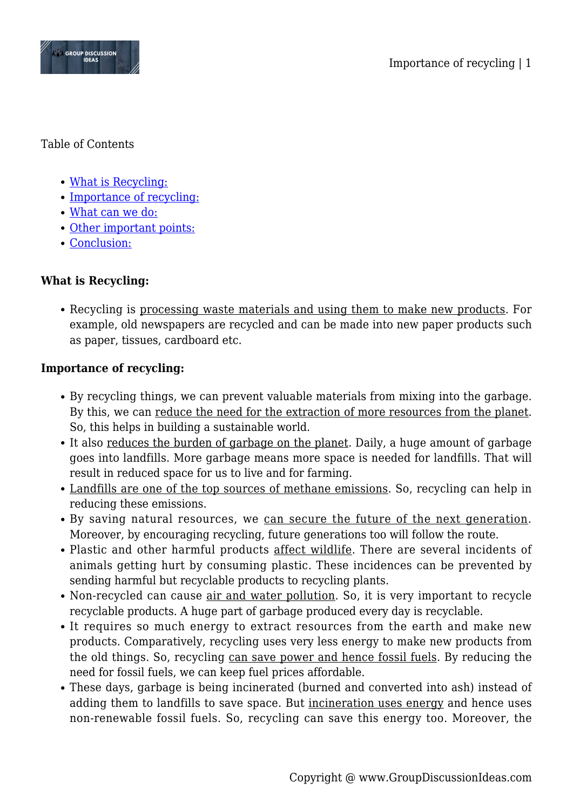

#### Table of Contents

- [What is Recycling:](#page--1-0)
- [Importance of recycling:](#page--1-0)
- [What can we do:](#page--1-0)
- [Other important points:](#page--1-0)
- [Conclusion:](#page--1-0)

# **What is Recycling:**

Recycling is processing waste materials and using them to make new products. For example, old newspapers are recycled and can be made into new paper products such as paper, tissues, cardboard etc.

## **Importance of recycling:**

- By recycling things, we can prevent valuable materials from mixing into the garbage. By this, we can reduce the need for the extraction of more resources from the planet. So, this helps in building a sustainable world.
- It also reduces the burden of garbage on the planet. Daily, a huge amount of garbage goes into landfills. More garbage means more space is needed for landfills. That will result in reduced space for us to live and for farming.
- Landfills are one of the top sources of methane emissions. So, recycling can help in reducing these emissions.
- By saving natural resources, we can secure the future of the next generation. Moreover, by encouraging recycling, future generations too will follow the route.
- Plastic and other harmful products affect wildlife. There are several incidents of animals getting hurt by consuming plastic. These incidences can be prevented by sending harmful but recyclable products to recycling plants.
- Non-recycled can cause air and water pollution. So, it is very important to recycle recyclable products. A huge part of garbage produced every day is recyclable.
- It requires so much energy to extract resources from the earth and make new products. Comparatively, recycling uses very less energy to make new products from the old things. So, recycling can save power and hence fossil fuels. By reducing the need for fossil fuels, we can keep fuel prices affordable.
- These days, garbage is being incinerated (burned and converted into ash) instead of adding them to landfills to save space. But incineration uses energy and hence uses non-renewable fossil fuels. So, recycling can save this energy too. Moreover, the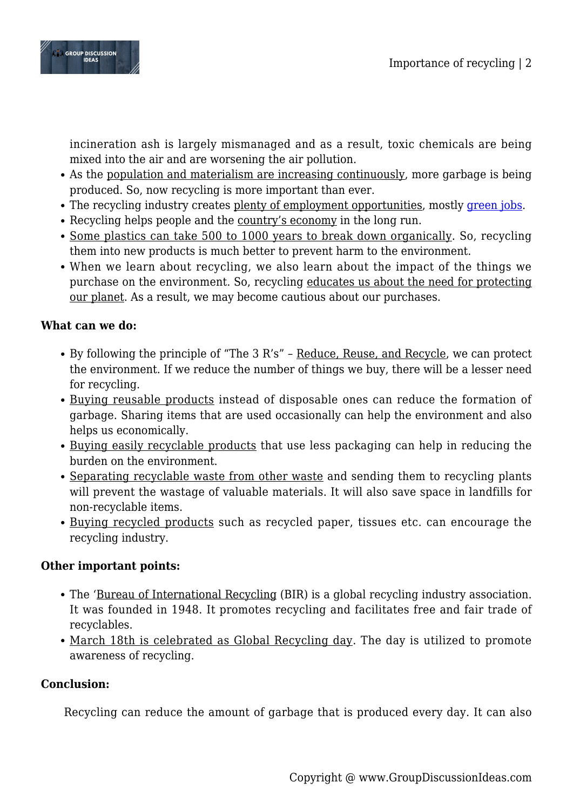

incineration ash is largely mismanaged and as a result, toxic chemicals are being mixed into the air and are worsening the air pollution.

- As the population and materialism are increasing continuously, more garbage is being produced. So, now recycling is more important than ever.
- The recycling industry creates plenty of employment opportunities, mostly [green jobs.](https://www.groupdiscussionideas.com/green-jobs-are-essential-for-sustainable-development/)
- Recycling helps people and the country's economy in the long run.
- Some plastics can take 500 to 1000 years to break down organically. So, recycling them into new products is much better to prevent harm to the environment.
- When we learn about recycling, we also learn about the impact of the things we purchase on the environment. So, recycling educates us about the need for protecting our planet. As a result, we may become cautious about our purchases.

## **What can we do:**

- By following the principle of "The 3 R's" Reduce, Reuse, and Recycle, we can protect the environment. If we reduce the number of things we buy, there will be a lesser need for recycling.
- Buying reusable products instead of disposable ones can reduce the formation of garbage. Sharing items that are used occasionally can help the environment and also helps us economically.
- Buying easily recyclable products that use less packaging can help in reducing the burden on the environment.
- Separating recyclable waste from other waste and sending them to recycling plants will prevent the wastage of valuable materials. It will also save space in landfills for non-recyclable items.
- Buying recycled products such as recycled paper, tissues etc. can encourage the recycling industry.

## **Other important points:**

- The 'Bureau of International Recycling (BIR) is a global recycling industry association. It was founded in 1948. It promotes recycling and facilitates free and fair trade of recyclables.
- March 18th is celebrated as Global Recycling day. The day is utilized to promote awareness of recycling.

## **Conclusion:**

Recycling can reduce the amount of garbage that is produced every day. It can also